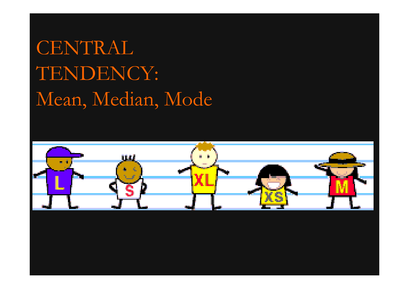# CENTRAL TENDENCY: Mean, Median, Mode

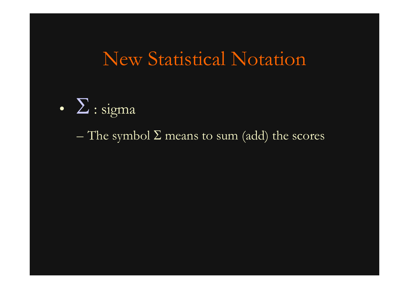## New Statistical Notation



The symbol  $\Sigma$  means to sum (add) the scores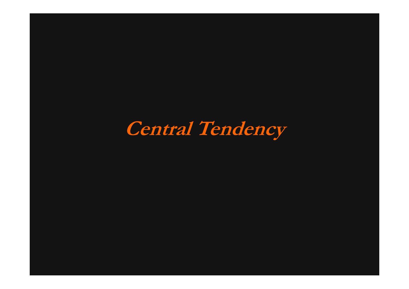**Central Tendency**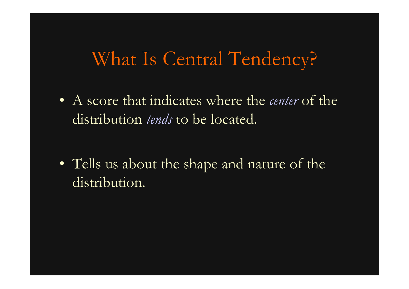#### What Is Central Tendency?

• A score that indicates where the *center* of the distribution *tends* to be located.

• Tells us about the shape and nature of the distribution.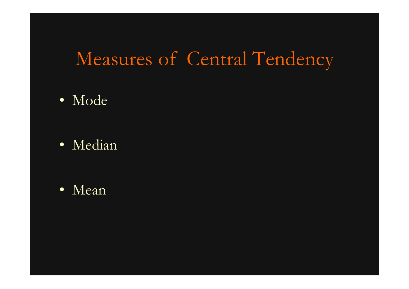## Measures of Central Tendency

- Mode
- Median

• Mean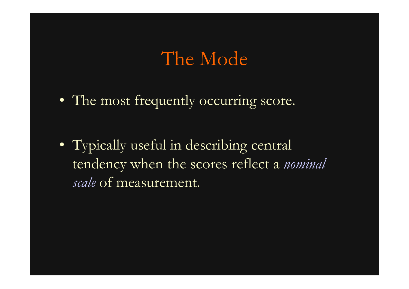#### The Mode

• The most frequently occurring score.

• Typically useful in describing central in tendency when the scores reflect a *nominal scale* of measurement.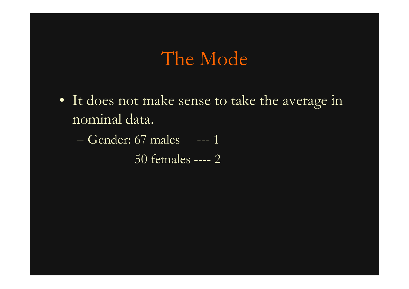#### The Mode

• It does not make sense to take the average in nominal data.

– Gender: 67 males --- 1

50 females ---- 2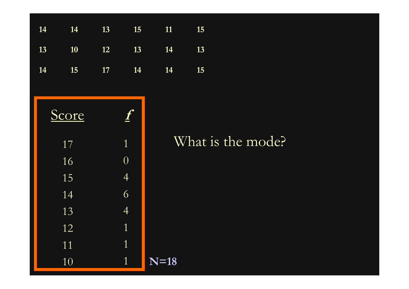

#### 1 What is the mode?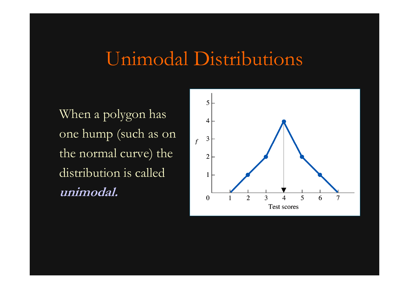### Unimodal Distributions

When a polygon has one hump (such as on the normal curve) the distribution is called **unimodal.**

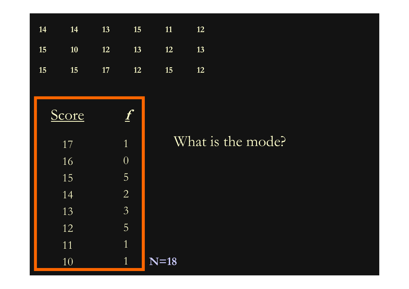| 11<br>12 | 15               | 13 | 14        | 14 |
|----------|------------------|----|-----------|----|
| 12<br>13 | 13               | 12 | <b>10</b> | 15 |
| 15<br>12 | 12               | 17 | 15        | 15 |
|          |                  |    |           |    |
|          | $\boldsymbol{f}$ |    | Score     |    |
| What     | $\overline{1}$   |    | 17        |    |
|          | $\overline{0}$   |    | 16        |    |
|          | 5                |    | 15        |    |
|          | $\overline{2}$   |    | 14        |    |
|          | $\overline{3}$   |    | 13        |    |
|          | 5                |    | 12        |    |
|          | $\overline{1}$   |    | 11        |    |
| $N=18$   | $\mathbf{1}$     |    | 10        |    |

#### 1 What is the mode?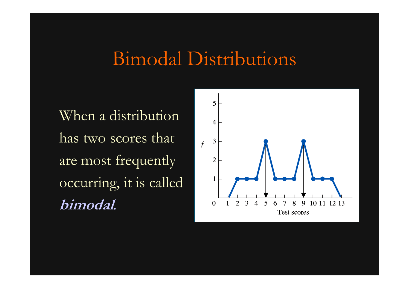### Bimodal Distributions

When a distribution has two scores that are most frequently occurring, it is calle d **bimodal***.*

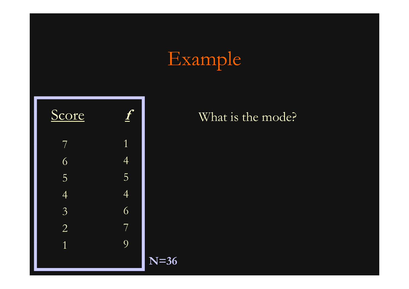# Example



#### What is the mode?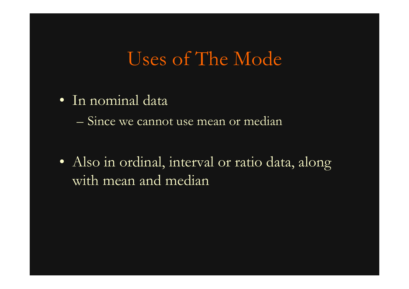### Uses of The Mode

• In nominal data

– Since we cannot use mean or median

• Also in ordinal, interval or ratio data, along with mean and median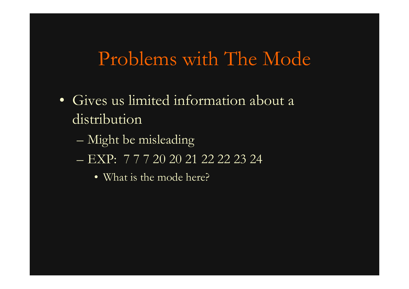### Problems with The Mode

- Gives us limited information about a distribution
	- Might be misleading
	- EXP: 7 7 7 20 20 21 22 22 23 24
		- What is the mode here?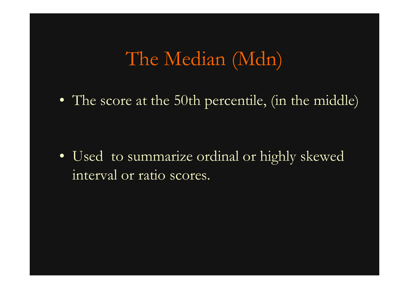## The Median (Mdn)

• The score at the 50th percentile, (in the middle)

• Used to summarize ordinal or highly skewed interval or ratio scores.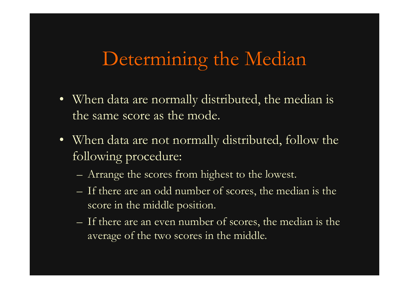## Determining the Median

- When data are normally distributed, the median is the same score as the mode.
- When data are not normally distributed, follow the following procedure:
	- Arrange the scores from highest to the lowest.
	- If there are an odd number of scores, the median is the score in the middle position.
	- If there are an even number of scores, the median is the average of the two scores in the middle.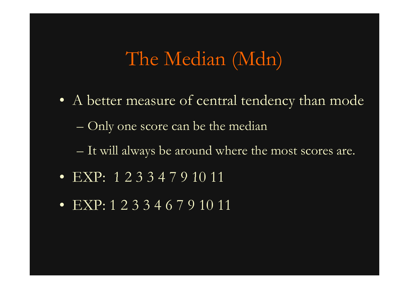### The Median (Mdn)

- A better measure of central tendency than mode Only one score can be the median
	- $-$  It will always be around where the most scores are.
- EXP: 1 2 3 3 4 7 9 10 11
- EXP: 1 2 3 3 4 6 7 9 10 11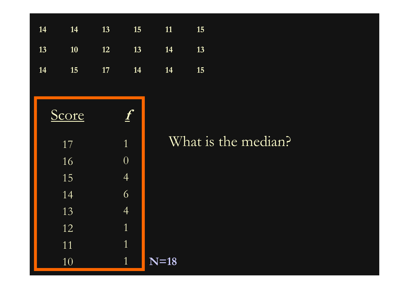

#### 1 What is the median?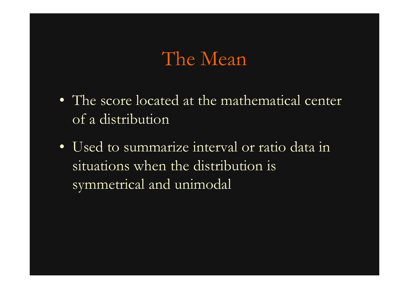#### The Mean

- The score located at the mathematical center of a distribution
- Used to summarize interval or ratio data in situations when the distribution is symmetrical and unimodal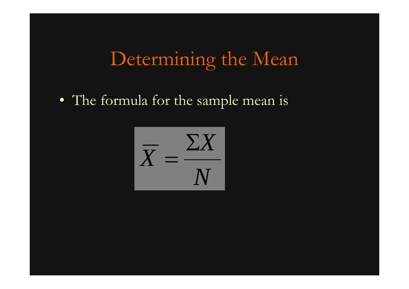# Determining the Mean

• The formula for the sample mean is

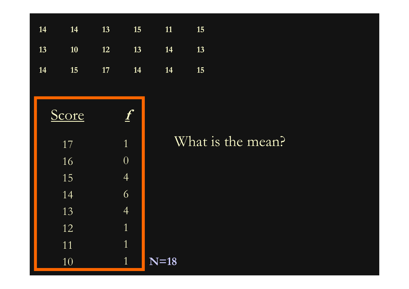| 11<br>15               | 15               | 13 | 14    | 14 |
|------------------------|------------------|----|-------|----|
| 14<br>13               | 13               | 12 | 10    | 13 |
| 14<br>15               | 14               | 17 | 15    | 14 |
|                        |                  |    |       |    |
|                        | $\boldsymbol{f}$ |    | Score |    |
| Wha                    | $\mathbf{1}$     |    | 17    |    |
|                        | $\overline{0}$   |    | 16    |    |
|                        | $\overline{4}$   |    | 15    |    |
|                        | 6                |    | 14    |    |
|                        | $\overline{4}$   |    | 13    |    |
|                        | $\overline{1}$   |    | 12    |    |
|                        | $\mathbf{1}$     |    | 11    |    |
| $\overline{\bf N}$ =18 | $\mathbf{1}$     |    | 10    |    |

#### 1 What is the mean?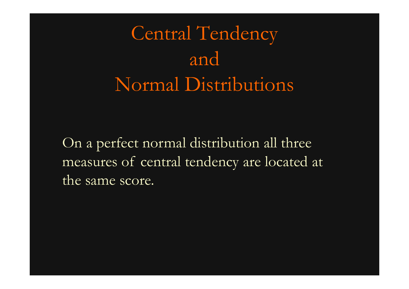Central Tendency and Normal Distributions

On <sup>a</sup> perfect normal distribution all three measures of central tendency are located at t he same score.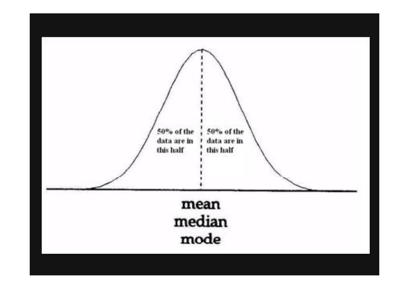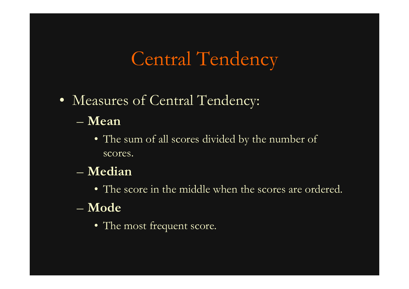# Central Tendency

- Measures of Central Tendency: – **Mean**
	- - The sum of all scores divided by the number of scores.
	- **Median**
		- The score in the middle when the scores are ordered.
	- **Mode**
		- The most frequent score.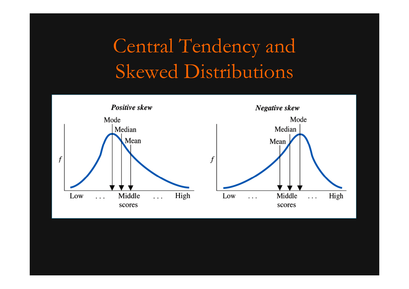# Central Tendency and Skewed Distributions

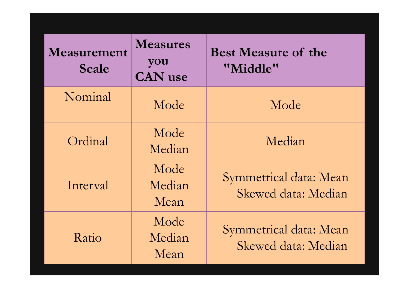| Measurement<br><b>Scale</b> | <b>Measures</b><br>you<br><b>CAN</b> use | <b>Best Measure of the</b><br>"Middle"        |
|-----------------------------|------------------------------------------|-----------------------------------------------|
| Nominal                     | Mode                                     | Mode                                          |
| Ordinal                     | Mode<br>Median                           | Median                                        |
| Interval                    | Mode<br>Median<br>Mean                   | Symmetrical data: Mean<br>Skewed data: Median |
| Ratio                       | Mode<br>Median<br>Mean                   | Symmetrical data: Mean<br>Skewed data: Median |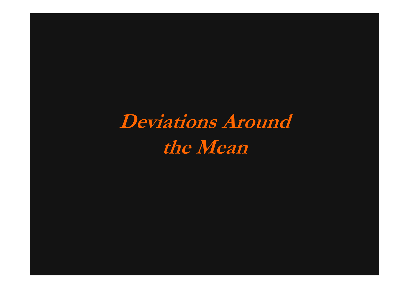**Deviations Around the Mean**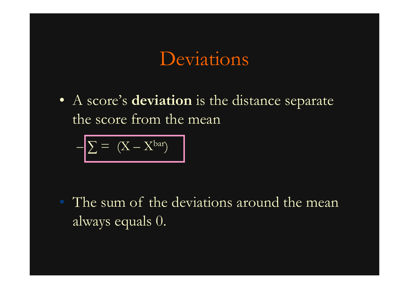#### Deviations

• A score's **deviation** is the distance separate the score from the mean

$$
-\boxed{\sum = (X - X^{bar})}
$$

• The sum of the deviations around the mean always equals 0.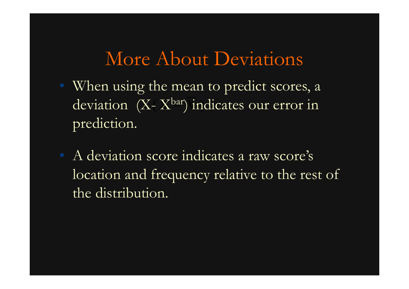#### More About Deviations

- ( *X* deviation (X-X<sup>bar</sup>) in When using the mean to predict scores, a deviation (X-X<sup>bar</sup>) indicates our error in<br>prediction.
- A deviation score indicates a raw score's location and frequency relative to the rest of the distribution.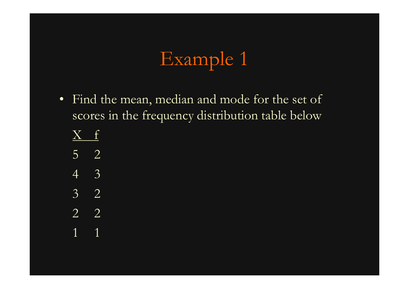# Example 1

- Find the mean, median and mode for the set of scores in the frequency distribution table below
	- $\rm \chi$  $\mathbf{f}$
	- 5 2
	- 43
	- 3 2
	- 2 2
	- 11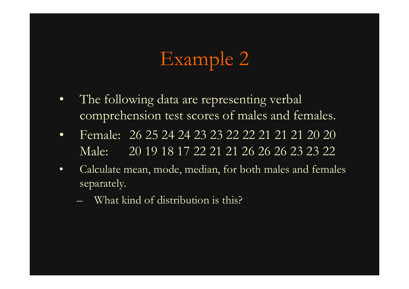# Example 2

- • The following data are representing verbal comprehension test scores of males and females.
- $\bullet$  Female: 26 25 24 24 23 23 22 22 21 21 21 20 20 Male: 20 19 18 17 22 21 21 26 26 26 23 23 22
- • Calculate mean, mode, median, for both males and females separately.
	- What kind of distribution is this?